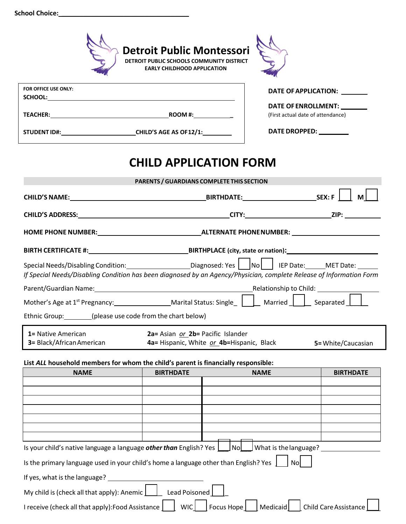|                               | <b>Detroit Public Montessori</b><br>DETROIT PUBLIC SCHOOLS COMMUNITY DISTRICT<br><b>EARLY CHILDHOOD APPLICATION</b>                                                                                                            |                                   |  |  |  |
|-------------------------------|--------------------------------------------------------------------------------------------------------------------------------------------------------------------------------------------------------------------------------|-----------------------------------|--|--|--|
| FOR OFFICE USE ONLY:          |                                                                                                                                                                                                                                | DATE OF APPLICATION: ________     |  |  |  |
|                               | SCHOOL: And the second contract of the second contract of the second contract of the second contract of the second contract of the second contract of the second contract of the second contract of the second contract of the | DATE OF ENROLLMENT: ________      |  |  |  |
|                               |                                                                                                                                                                                                                                | (First actual date of attendance) |  |  |  |
|                               | STUDENT ID#: CHILD'S AGE AS OF 12/1:                                                                                                                                                                                           | DATE DROPPED: ________            |  |  |  |
| <b>CHILD APPLICATION FORM</b> |                                                                                                                                                                                                                                |                                   |  |  |  |
|                               | PARENTS / GUARDIANS COMPLETE THIS SECTION                                                                                                                                                                                      |                                   |  |  |  |
|                               |                                                                                                                                                                                                                                |                                   |  |  |  |
| <b>CHILD'S ADDRESS:</b>       |                                                                                                                                                                                                                                | <b>CITY: CITY:</b><br>ZIP:        |  |  |  |

**HOME PHONE NUMBER: ALTERNATE PHONENUMBER:**

| <b>BIRTH CERTIFICATE #:</b> | <b>BIRTHPLACE (city, state or nation):</b> |
|-----------------------------|--------------------------------------------|
|                             |                                            |

| Special Needs/Disabling Condition:                                                                                   | Diagnosed: Yes                | $\overline{\phantom{a}}$ No |  | IEP Date:              | MET Date: |  |
|----------------------------------------------------------------------------------------------------------------------|-------------------------------|-----------------------------|--|------------------------|-----------|--|
| If Special Needs/Disabling Condition has been diagnosed by an Agency/Physician, complete Release of Information Form |                               |                             |  |                        |           |  |
| Parent/Guardian Name:                                                                                                |                               |                             |  | Relationship to Child: |           |  |
| Mother's Age at 1 <sup>st</sup> Pregnancy:                                                                           | <b>Marital Status: Single</b> |                             |  | Married                | Separated |  |

Ethnic Group: (please use code from the chart below)

| <b>1 = Native American</b>      | 2a= Asian or 2b= Pacific Islander         |                     |
|---------------------------------|-------------------------------------------|---------------------|
| <b>3</b> Black/African American | 4a= Hispanic, White or 4b=Hispanic, Black | 5 = White/Caucasian |

## **List** *ALL* **household members for whom the child's parent is financially responsible:**

| <b>NAME</b>                                                                                                        | <b>BIRTHDATE</b> | <b>NAME</b> | <b>BIRTHDATE</b> |  |
|--------------------------------------------------------------------------------------------------------------------|------------------|-------------|------------------|--|
|                                                                                                                    |                  |             |                  |  |
|                                                                                                                    |                  |             |                  |  |
|                                                                                                                    |                  |             |                  |  |
|                                                                                                                    |                  |             |                  |  |
|                                                                                                                    |                  |             |                  |  |
|                                                                                                                    |                  |             |                  |  |
|                                                                                                                    |                  |             |                  |  |
| Is your child's native language a language other than English? Yes $\Box$ No $\Box$ What is the language?          |                  |             |                  |  |
| Is the primary language used in your child's home a language other than English? Yes  <br>Nol                      |                  |             |                  |  |
| If yes, what is the language?                                                                                      |                  |             |                  |  |
| Lead Poisoned<br>My child is (check all that apply): Anemic                                                        |                  |             |                  |  |
| I receive (check all that apply): Food Assistance<br>Focus Hope<br>Medicaid<br><b>Child Care Assistance</b><br>WIC |                  |             |                  |  |